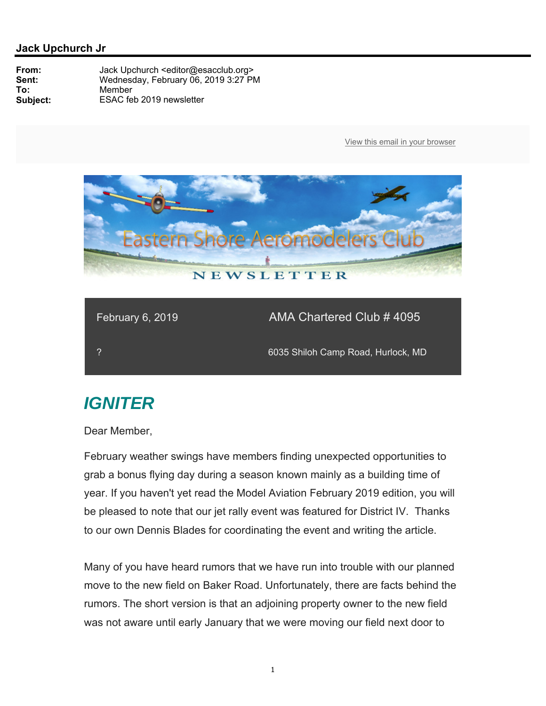

| February 6, 2019 <sup>'</sup> | <b>AMA Chartered Club # 4095</b>   |
|-------------------------------|------------------------------------|
|                               | 6035 Shiloh Camp Road, Hurlock, MD |

# *IGNITER*

Dear Member,

February weather swings have members finding unexpected opportunities to grab a bonus flying day during a season known mainly as a building time of year. If you haven't yet read the Model Aviation February 2019 edition, you will be pleased to note that our jet rally event was featured for District IV. Thanks to our own Dennis Blades for coordinating the event and writing the article.

Many of you have heard rumors that we have run into trouble with our planned move to the new field on Baker Road. Unfortunately, there are facts behind the rumors. The short version is that an adjoining property owner to the new field was not aware until early January that we were moving our field next door to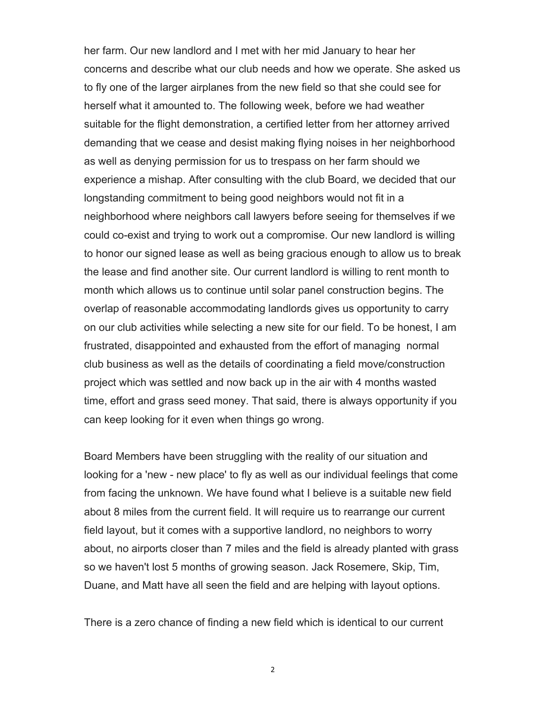her farm. Our new landlord and I met with her mid January to hear her concerns and describe what our club needs and how we operate. She asked us to fly one of the larger airplanes from the new field so that she could see for herself what it amounted to. The following week, before we had weather suitable for the flight demonstration, a certified letter from her attorney arrived demanding that we cease and desist making flying noises in her neighborhood as well as denying permission for us to trespass on her farm should we experience a mishap. After consulting with the club Board, we decided that our longstanding commitment to being good neighbors would not fit in a neighborhood where neighbors call lawyers before seeing for themselves if we could co-exist and trying to work out a compromise. Our new landlord is willing to honor our signed lease as well as being gracious enough to allow us to break the lease and find another site. Our current landlord is willing to rent month to month which allows us to continue until solar panel construction begins. The overlap of reasonable accommodating landlords gives us opportunity to carry on our club activities while selecting a new site for our field. To be honest, I am frustrated, disappointed and exhausted from the effort of managing normal club business as well as the details of coordinating a field move/construction project which was settled and now back up in the air with 4 months wasted time, effort and grass seed money. That said, there is always opportunity if you can keep looking for it even when things go wrong.

Board Members have been struggling with the reality of our situation and looking for a 'new - new place' to fly as well as our individual feelings that come from facing the unknown. We have found what I believe is a suitable new field about 8 miles from the current field. It will require us to rearrange our current field layout, but it comes with a supportive landlord, no neighbors to worry about, no airports closer than 7 miles and the field is already planted with grass so we haven't lost 5 months of growing season. Jack Rosemere, Skip, Tim, Duane, and Matt have all seen the field and are helping with layout options.

There is a zero chance of finding a new field which is identical to our current

2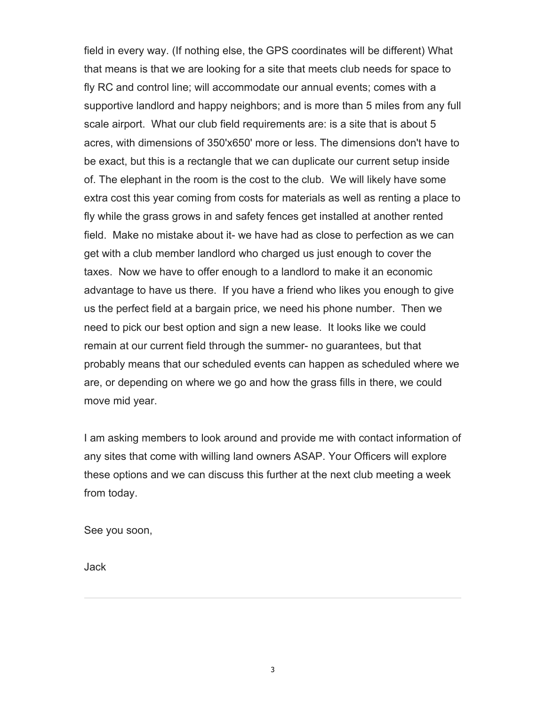field in every way. (If nothing else, the GPS coordinates will be different) What that means is that we are looking for a site that meets club needs for space to fly RC and control line; will accommodate our annual events; comes with a supportive landlord and happy neighbors; and is more than 5 miles from any full scale airport. What our club field requirements are: is a site that is about 5 acres, with dimensions of 350'x650' more or less. The dimensions don't have to be exact, but this is a rectangle that we can duplicate our current setup inside of. The elephant in the room is the cost to the club. We will likely have some extra cost this year coming from costs for materials as well as renting a place to fly while the grass grows in and safety fences get installed at another rented field. Make no mistake about it- we have had as close to perfection as we can get with a club member landlord who charged us just enough to cover the taxes. Now we have to offer enough to a landlord to make it an economic advantage to have us there. If you have a friend who likes you enough to give us the perfect field at a bargain price, we need his phone number. Then we need to pick our best option and sign a new lease. It looks like we could remain at our current field through the summer- no guarantees, but that probably means that our scheduled events can happen as scheduled where we are, or depending on where we go and how the grass fills in there, we could move mid year.

I am asking members to look around and provide me with contact information of any sites that come with willing land owners ASAP. Your Officers will explore these options and we can discuss this further at the next club meeting a week from today.

See you soon,

Jack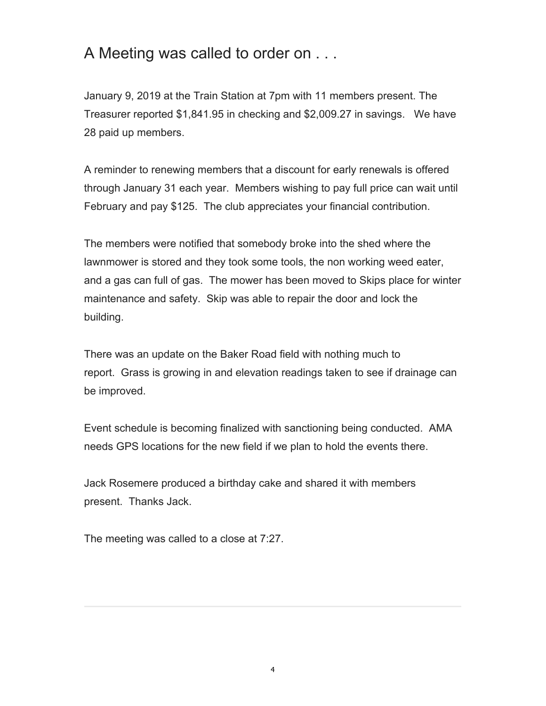### A Meeting was called to order on . . .

January 9, 2019 at the Train Station at 7pm with 11 members present. The Treasurer reported \$1,841.95 in checking and \$2,009.27 in savings. We have 28 paid up members.

A reminder to renewing members that a discount for early renewals is offered through January 31 each year. Members wishing to pay full price can wait until February and pay \$125. The club appreciates your financial contribution.

The members were notified that somebody broke into the shed where the lawnmower is stored and they took some tools, the non working weed eater, and a gas can full of gas. The mower has been moved to Skips place for winter maintenance and safety. Skip was able to repair the door and lock the building.

There was an update on the Baker Road field with nothing much to report. Grass is growing in and elevation readings taken to see if drainage can be improved.

Event schedule is becoming finalized with sanctioning being conducted. AMA needs GPS locations for the new field if we plan to hold the events there.

Jack Rosemere produced a birthday cake and shared it with members present. Thanks Jack.

The meeting was called to a close at 7:27.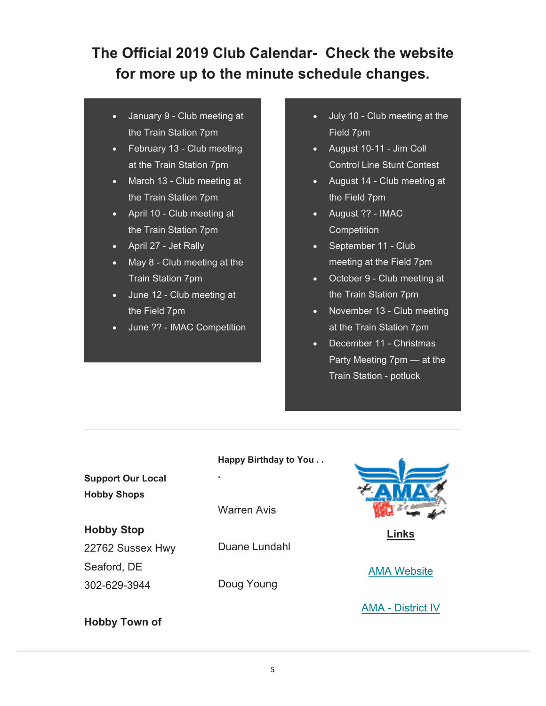## **The Official 2019 Club Calendar- Check the website for more up to the minute schedule changes.**

- January 9 Club meeting at the Train Station 7pm
- February 13 Club meeting at the Train Station 7pm
- March 13 Club meeting at the Train Station 7pm
- April 10 Club meeting at the Train Station 7pm
- April 27 Jet Rally
- May 8 Club meeting at the Train Station 7pm
- June 12 Club meeting at the Field 7pm
- June ?? IMAC Competition
- July 10 Club meeting at the Field 7pm
- August 10-11 Jim Coll Control Line Stunt Contest
- August 14 Club meeting at the Field 7pm
- August ?? IMAC **Competition**
- September 11 Club meeting at the Field 7pm
- October 9 Club meeting at the Train Station 7pm
- November 13 Club meeting at the Train Station 7pm
- December 11 Christmas Party Meeting 7pm — at the Train Station - potluck

|                          | Happy Birthday to You |  |
|--------------------------|-----------------------|--|
| <b>Support Our Local</b> | ٠                     |  |
| <b>Hobby Shops</b>       |                       |  |
|                          | Warren Avis           |  |
| <b>Hobby Stop</b>        |                       |  |
| 22762 Sussex Hwy         | Duane Lundahl         |  |
| Seaford, DE              |                       |  |
| 302-629-3944             | Doug Young            |  |
|                          |                       |  |

**Hobby Town of** 



**Links** 

AMA Website

AMA - District IV